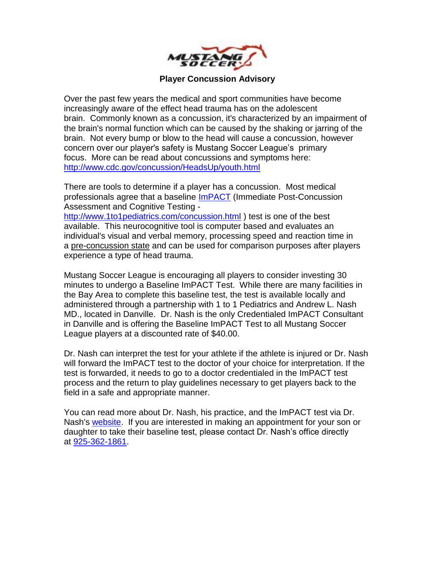

#### **Player Concussion Advisory**

Over the past few years the medical and sport communities have become increasingly aware of the effect head trauma has on the adolescent brain. Commonly known as a concussion, it's characterized by an impairment of the brain's normal function which can be caused by the shaking or jarring of the brain. Not every bump or blow to the head will cause a concussion, however concern over our player's safety is Mustang Soccer League's primary focus. More can be read about concussions and symptoms here: <http://www.cdc.gov/concussion/HeadsUp/youth.html>

There are tools to determine if a player has a concussion. Most medical professionals agree that a baseline [ImPACT](http://www.1to1pediatrics.com/concussion.html) (Immediate Post-Concussion Assessment and Cognitive Testing -

<http://www.1to1pediatrics.com/concussion.html> ) test is one of the best available. This neurocognitive tool is computer based and evaluates an individual's visual and verbal memory, processing speed and reaction time in a pre-concussion state and can be used for comparison purposes after players experience a type of head trauma.

Mustang Soccer League is encouraging all players to consider investing 30 minutes to undergo a Baseline ImPACT Test. While there are many facilities in the Bay Area to complete this baseline test, the test is available locally and administered through a partnership with 1 to 1 Pediatrics and Andrew L. Nash MD., located in Danville. Dr. Nash is the only Credentialed ImPACT Consultant in Danville and is offering the Baseline ImPACT Test to all Mustang Soccer League players at a discounted rate of \$40.00.

Dr. Nash can interpret the test for your athlete if the athlete is injured or Dr. Nash will forward the ImPACT test to the doctor of your choice for interpretation. If the test is forwarded, it needs to go to a doctor credentialed in the ImPACT test process and the return to play guidelines necessary to get players back to the field in a safe and appropriate manner.

You can read more about Dr. Nash, his practice, and the ImPACT test via Dr. Nash's [website.](http://www.1to1pediatrics.com/concussion.html) If you are interested in making an appointment for your son or daughter to take their baseline test, please contact Dr. Nash's office directly at [925-362-1861.](tel:925-362-1861)